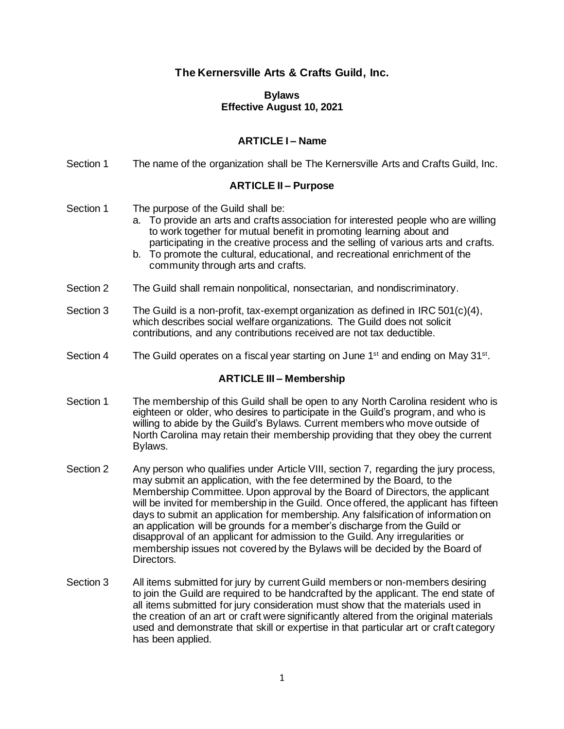# **The Kernersville Arts & Crafts Guild, Inc.**

#### **Bylaws Effective August 10, 2021**

## **ARTICLE I – Name**

Section 1 The name of the organization shall be The Kernersville Arts and Crafts Guild, Inc.

#### **ARTICLE II – Purpose**

Section 1 The purpose of the Guild shall be:

- a. To provide an arts and crafts association for interested people who are willing to work together for mutual benefit in promoting learning about and participating in the creative process and the selling of various arts and crafts.
- b. To promote the cultural, educational, and recreational enrichment of the community through arts and crafts.
- Section 2 The Guild shall remain nonpolitical, nonsectarian, and nondiscriminatory.
- Section 3 The Guild is a non-profit, tax-exempt organization as defined in IRC  $501(c)(4)$ . which describes social welfare organizations. The Guild does not solicit contributions, and any contributions received are not tax deductible.
- Section 4 The Guild operates on a fiscal year starting on June 1<sup>st</sup> and ending on May 31<sup>st</sup>.

#### **ARTICLE III – Membership**

- Section 1 The membership of this Guild shall be open to any North Carolina resident who is eighteen or older, who desires to participate in the Guild's program, and who is willing to abide by the Guild's Bylaws. Current members who move outside of North Carolina may retain their membership providing that they obey the current Bylaws.
- Section 2 Any person who qualifies under Article VIII, section 7, regarding the jury process, may submit an application, with the fee determined by the Board, to the Membership Committee. Upon approval by the Board of Directors, the applicant will be invited for membership in the Guild. Once offered, the applicant has fifteen days to submit an application for membership. Any falsification of information on an application will be grounds for a member's discharge from the Guild or disapproval of an applicant for admission to the Guild. Any irregularities or membership issues not covered by the Bylaws will be decided by the Board of Directors.
- Section 3 All items submitted for jury by current Guild members or non-members desiring to join the Guild are required to be handcrafted by the applicant. The end state of all items submitted for jury consideration must show that the materials used in the creation of an art or craft were significantly altered from the original materials used and demonstrate that skill or expertise in that particular art or craft category has been applied.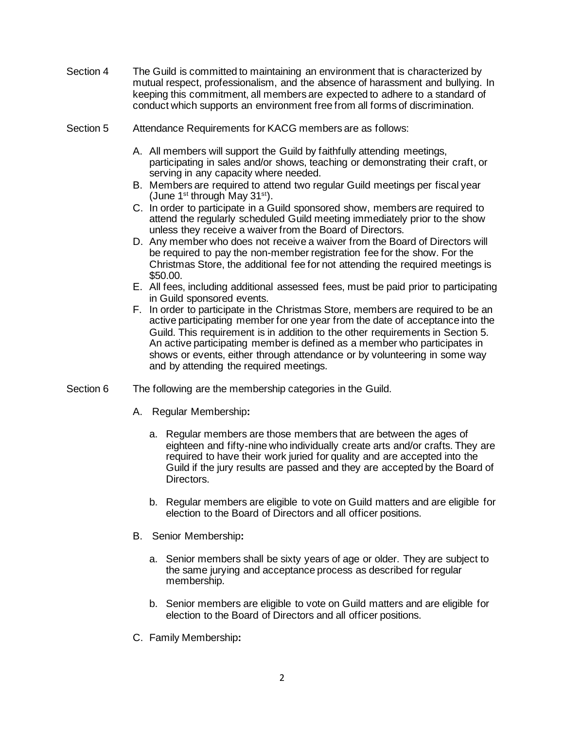- Section 4 The Guild is committed to maintaining an environment that is characterized by mutual respect, professionalism, and the absence of harassment and bullying. In keeping this commitment, all members are expected to adhere to a standard of conduct which supports an environment free from all forms of discrimination.
- Section 5 Attendance Requirements for KACG members are as follows:
	- A. All members will support the Guild by faithfully attending meetings, participating in sales and/or shows, teaching or demonstrating their craft, or serving in any capacity where needed.
	- B. Members are required to attend two regular Guild meetings per fiscal year (June 1st through May  $31<sup>st</sup>$ ).
	- C. In order to participate in a Guild sponsored show, members are required to attend the regularly scheduled Guild meeting immediately prior to the show unless they receive a waiver from the Board of Directors.
	- D. Any member who does not receive a waiver from the Board of Directors will be required to pay the non-member registration fee for the show. For the Christmas Store, the additional fee for not attending the required meetings is \$50.00.
	- E. All fees, including additional assessed fees, must be paid prior to participating in Guild sponsored events.
	- F. In order to participate in the Christmas Store, members are required to be an active participating member for one year from the date of acceptance into the Guild. This requirement is in addition to the other requirements in Section 5. An active participating member is defined as a member who participates in shows or events, either through attendance or by volunteering in some way and by attending the required meetings.
- Section 6 The following are the membership categories in the Guild.
	- A. Regular Membership**:**
		- a. Regular members are those members that are between the ages of eighteen and fifty-nine who individually create arts and/or crafts. They are required to have their work juried for quality and are accepted into the Guild if the jury results are passed and they are accepted by the Board of Directors.
		- b. Regular members are eligible to vote on Guild matters and are eligible for election to the Board of Directors and all officer positions.
	- B. Senior Membership**:**
		- a. Senior members shall be sixty years of age or older. They are subject to the same jurying and acceptance process as described for regular membership.
		- b. Senior members are eligible to vote on Guild matters and are eligible for election to the Board of Directors and all officer positions.
	- C. Family Membership**:**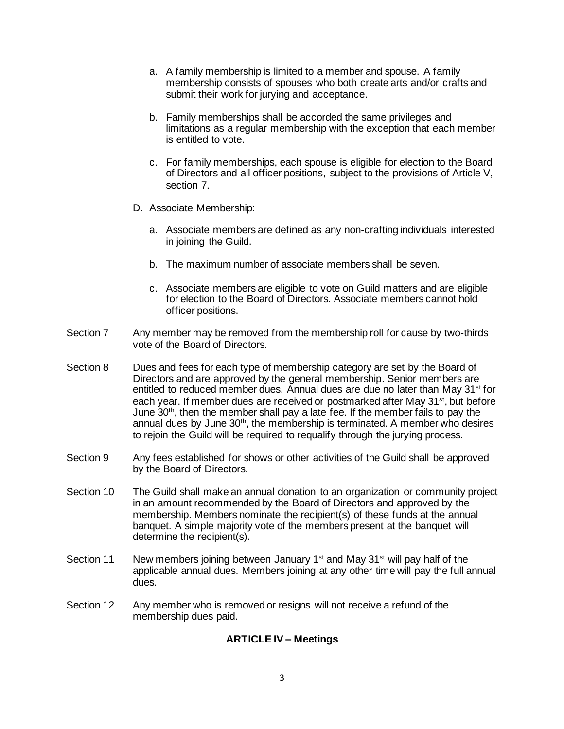- a. A family membership is limited to a member and spouse. A family membership consists of spouses who both create arts and/or crafts and submit their work for jurying and acceptance.
- b. Family memberships shall be accorded the same privileges and limitations as a regular membership with the exception that each member is entitled to vote.
- c. For family memberships, each spouse is eligible for election to the Board of Directors and all officer positions, subject to the provisions of Article V, section 7.
- D. Associate Membership:
	- a. Associate members are defined as any non-crafting individuals interested in joining the Guild.
	- b. The maximum number of associate members shall be seven.
	- c. Associate members are eligible to vote on Guild matters and are eligible for election to the Board of Directors. Associate members cannot hold officer positions.
- Section 7 Any member may be removed from the membership roll for cause by two-thirds vote of the Board of Directors.
- Section 8 Dues and fees for each type of membership category are set by the Board of Directors and are approved by the general membership. Senior members are entitled to reduced member dues. Annual dues are due no later than May 31<sup>st</sup> for each year. If member dues are received or postmarked after May 31<sup>st</sup>, but before June  $30<sup>th</sup>$ , then the member shall pay a late fee. If the member fails to pay the annual dues by June 30<sup>th</sup>, the membership is terminated. A member who desires to rejoin the Guild will be required to requalify through the jurying process.
- Section 9 Any fees established for shows or other activities of the Guild shall be approved by the Board of Directors.
- Section 10 The Guild shall make an annual donation to an organization or community project in an amount recommended by the Board of Directors and approved by the membership. Members nominate the recipient(s) of these funds at the annual banquet. A simple majority vote of the members present at the banquet will determine the recipient(s).
- Section 11 New members joining between January  $1<sup>st</sup>$  and May 31 $<sup>st</sup>$  will pay half of the</sup> applicable annual dues. Members joining at any other time will pay the full annual dues.
- Section 12 Any member who is removed or resigns will not receive a refund of the membership dues paid.

## **ARTICLE IV – Meetings**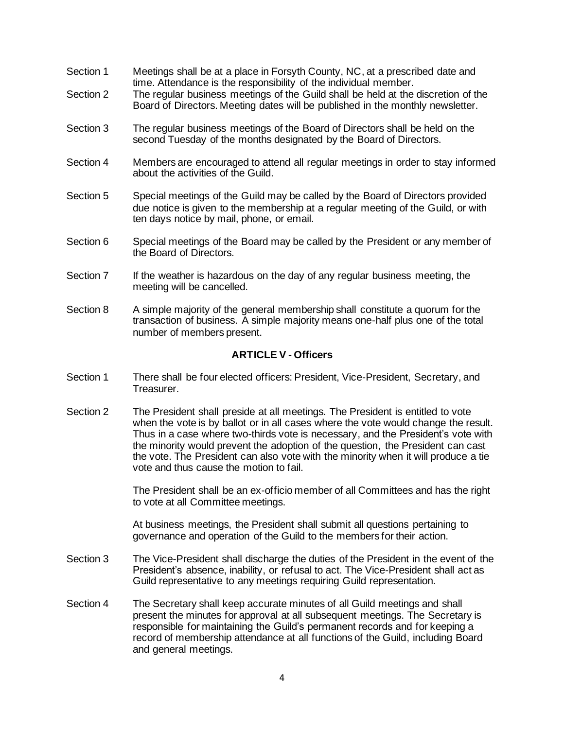- Section 1 Meetings shall be at a place in Forsyth County, NC, at a prescribed date and time. Attendance is the responsibility of the individual member.
- Section 2 The regular business meetings of the Guild shall be held at the discretion of the Board of Directors. Meeting dates will be published in the monthly newsletter.
- Section 3 The regular business meetings of the Board of Directors shall be held on the second Tuesday of the months designated by the Board of Directors.
- Section 4 Members are encouraged to attend all regular meetings in order to stay informed about the activities of the Guild.
- Section 5 Special meetings of the Guild may be called by the Board of Directors provided due notice is given to the membership at a regular meeting of the Guild, or with ten days notice by mail, phone, or email.
- Section 6 Special meetings of the Board may be called by the President or any member of the Board of Directors.
- Section 7 If the weather is hazardous on the day of any regular business meeting, the meeting will be cancelled.
- Section 8 A simple majority of the general membership shall constitute a quorum for the transaction of business. A simple majority means one-half plus one of the total number of members present.

#### **ARTICLE V - Officers**

- Section 1 There shall be four elected officers: President, Vice-President, Secretary, and Treasurer.
- Section 2 The President shall preside at all meetings. The President is entitled to vote when the vote is by ballot or in all cases where the vote would change the result. Thus in a case where two-thirds vote is necessary, and the President's vote with the minority would prevent the adoption of the question, the President can cast the vote. The President can also vote with the minority when it will produce a tie vote and thus cause the motion to fail.

The President shall be an ex-officio member of all Committees and has the right to vote at all Committee meetings.

At business meetings, the President shall submit all questions pertaining to governance and operation of the Guild to the members for their action.

- Section 3 The Vice-President shall discharge the duties of the President in the event of the President's absence, inability, or refusal to act. The Vice-President shall act as Guild representative to any meetings requiring Guild representation.
- Section 4 The Secretary shall keep accurate minutes of all Guild meetings and shall present the minutes for approval at all subsequent meetings. The Secretary is responsible for maintaining the Guild's permanent records and for keeping a record of membership attendance at all functions of the Guild, including Board and general meetings.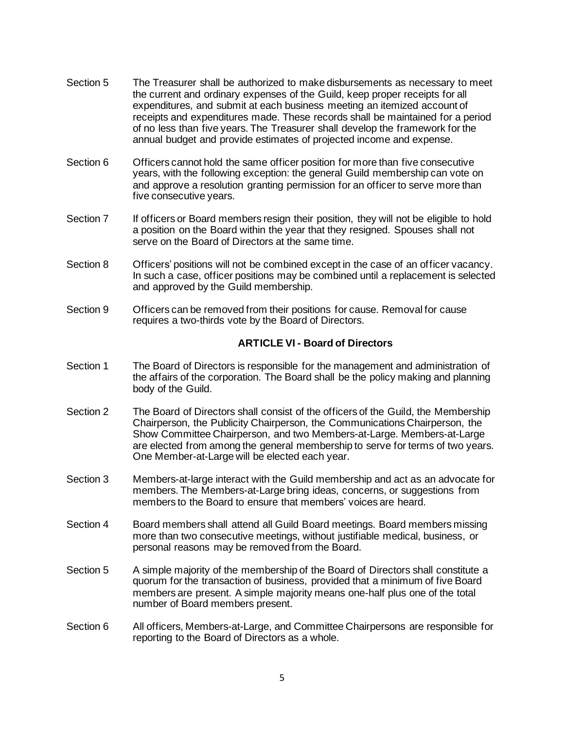- Section 5 The Treasurer shall be authorized to make disbursements as necessary to meet the current and ordinary expenses of the Guild, keep proper receipts for all expenditures, and submit at each business meeting an itemized account of receipts and expenditures made. These records shall be maintained for a period of no less than five years. The Treasurer shall develop the framework for the annual budget and provide estimates of projected income and expense.
- Section 6 Officers cannot hold the same officer position for more than five consecutive years, with the following exception: the general Guild membership can vote on and approve a resolution granting permission for an officer to serve more than five consecutive years.
- Section 7 If officers or Board members resign their position, they will not be eligible to hold a position on the Board within the year that they resigned. Spouses shall not serve on the Board of Directors at the same time.
- Section 8 Officers' positions will not be combined except in the case of an officer vacancy. In such a case, officer positions may be combined until a replacement is selected and approved by the Guild membership.
- Section 9 Officers can be removed from their positions for cause. Removal for cause requires a two-thirds vote by the Board of Directors.

#### **ARTICLE VI - Board of Directors**

- Section 1 The Board of Directors is responsible for the management and administration of the affairs of the corporation. The Board shall be the policy making and planning body of the Guild.
- Section 2 The Board of Directors shall consist of the officers of the Guild, the Membership Chairperson, the Publicity Chairperson, the Communications Chairperson, the Show Committee Chairperson, and two Members-at-Large. Members-at-Large are elected from among the general membership to serve for terms of two years. One Member-at-Large will be elected each year.
- Section 3 Members-at-large interact with the Guild membership and act as an advocate for members. The Members-at-Large bring ideas, concerns, or suggestions from members to the Board to ensure that members' voices are heard.
- Section 4 Board members shall attend all Guild Board meetings. Board members missing more than two consecutive meetings, without justifiable medical, business, or personal reasons may be removed from the Board.
- Section 5 A simple majority of the membership of the Board of Directors shall constitute a quorum for the transaction of business, provided that a minimum of five Board members are present. A simple majority means one-half plus one of the total number of Board members present.
- Section 6 All officers, Members-at-Large, and Committee Chairpersons are responsible for reporting to the Board of Directors as a whole.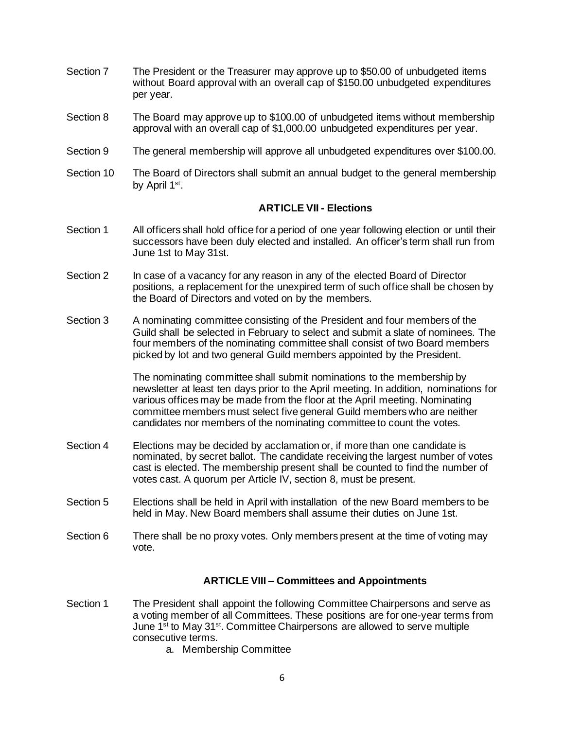- Section 7 The President or the Treasurer may approve up to \$50.00 of unbudgeted items without Board approval with an overall cap of \$150.00 unbudgeted expenditures per year.
- Section 8 The Board may approve up to \$100.00 of unbudgeted items without membership approval with an overall cap of \$1,000.00 unbudgeted expenditures per year.
- Section 9 The general membership will approve all unbudgeted expenditures over \$100.00.
- Section 10 The Board of Directors shall submit an annual budget to the general membership by April 1<sup>st</sup>.

#### **ARTICLE VII - Elections**

- Section 1 All officers shall hold office for a period of one year following election or until their successors have been duly elected and installed. An officer's term shall run from June 1st to May 31st.
- Section 2 In case of a vacancy for any reason in any of the elected Board of Director positions, a replacement for the unexpired term of such office shall be chosen by the Board of Directors and voted on by the members.
- Section 3 A nominating committee consisting of the President and four members of the Guild shall be selected in February to select and submit a slate of nominees. The four members of the nominating committee shall consist of two Board members picked by lot and two general Guild members appointed by the President.

The nominating committee shall submit nominations to the membership by newsletter at least ten days prior to the April meeting. In addition, nominations for various offices may be made from the floor at the April meeting. Nominating committee members must select five general Guild members who are neither candidates nor members of the nominating committee to count the votes.

- Section 4 Elections may be decided by acclamation or, if more than one candidate is nominated, by secret ballot. The candidate receiving the largest number of votes cast is elected. The membership present shall be counted to find the number of votes cast. A quorum per Article IV, section 8, must be present.
- Section 5 Elections shall be held in April with installation of the new Board members to be held in May. New Board members shall assume their duties on June 1st.
- Section 6 There shall be no proxy votes. Only members present at the time of voting may vote.

#### **ARTICLE VIII – Committees and Appointments**

- Section 1 The President shall appoint the following Committee Chairpersons and serve as a voting member of all Committees. These positions are for one-year terms from June 1<sup>st</sup> to May 31<sup>st</sup>. Committee Chairpersons are allowed to serve multiple consecutive terms.
	- a. Membership Committee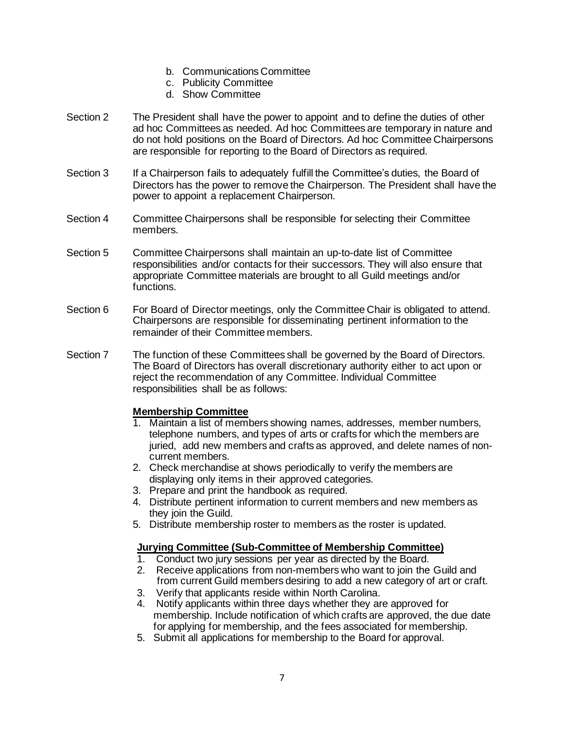- b. Communications Committee
- c. Publicity Committee
- d. Show Committee
- Section 2 The President shall have the power to appoint and to define the duties of other ad hoc Committees as needed. Ad hoc Committees are temporary in nature and do not hold positions on the Board of Directors. Ad hoc Committee Chairpersons are responsible for reporting to the Board of Directors as required.
- Section 3 If a Chairperson fails to adequately fulfill the Committee's duties, the Board of Directors has the power to remove the Chairperson. The President shall have the power to appoint a replacement Chairperson.
- Section 4 Committee Chairpersons shall be responsible for selecting their Committee members.
- Section 5 Committee Chairpersons shall maintain an up-to-date list of Committee responsibilities and/or contacts for their successors. They will also ensure that appropriate Committee materials are brought to all Guild meetings and/or functions.
- Section 6 For Board of Director meetings, only the Committee Chair is obligated to attend. Chairpersons are responsible for disseminating pertinent information to the remainder of their Committee members.
- Section 7 The function of these Committees shall be governed by the Board of Directors. The Board of Directors has overall discretionary authority either to act upon or reject the recommendation of any Committee. Individual Committee responsibilities shall be as follows:

## **Membership Committee**

- 1. Maintain a list of members showing names, addresses, member numbers, telephone numbers, and types of arts or crafts for which the members are juried, add new members and crafts as approved, and delete names of noncurrent members.
- 2. Check merchandise at shows periodically to verify the members are displaying only items in their approved categories.
- 3. Prepare and print the handbook as required.
- 4. Distribute pertinent information to current members and new members as they join the Guild.
- 5. Distribute membership roster to members as the roster is updated.

## **Jurying Committee (Sub-Committee of Membership Committee)**

- 1. Conduct two jury sessions per year as directed by the Board.
- 2. Receive applications from non-members who want to join the Guild and from current Guild members desiring to add a new category of art or craft.
- 3. Verify that applicants reside within North Carolina.
- 4. Notify applicants within three days whether they are approved for membership. Include notification of which crafts are approved, the due date for applying for membership, and the fees associated for membership.
- 5. Submit all applications for membership to the Board for approval.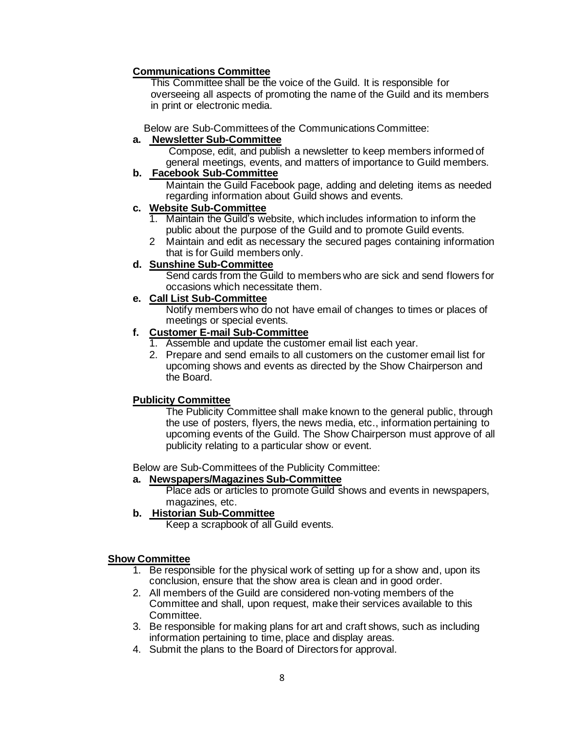# **Communications Committee**

 This Committee shall be the voice of the Guild. It is responsible for overseeing all aspects of promoting the name of the Guild and its members in print or electronic media.

Below are Sub-Committees of the Communications Committee:

# **a. Newsletter Sub-Committee**

 Compose, edit, and publish a newsletter to keep members informed of general meetings, events, and matters of importance to Guild members.

# **b. Facebook Sub-Committee**

 Maintain the Guild Facebook page, adding and deleting items as needed regarding information about Guild shows and events.

# **c. Website Sub-Committee**

- 1. Maintain the Guild's website, which includes information to inform the public about the purpose of the Guild and to promote Guild events.
- 2 Maintain and edit as necessary the secured pages containing information that is for Guild members only.

# **d. Sunshine Sub-Committee**

Send cards from the Guild to members who are sick and send flowers for occasions which necessitate them.

# **e. Call List Sub-Committee**

Notify members who do not have email of changes to times or places of meetings or special events.

# **f. Customer E-mail Sub-Committee**

- 1. Assemble and update the customer email list each year.
- 2. Prepare and send emails to all customers on the customer email list for upcoming shows and events as directed by the Show Chairperson and the Board.

# **Publicity Committee**

The Publicity Committee shall make known to the general public, through the use of posters, flyers, the news media, etc., information pertaining to upcoming events of the Guild. The Show Chairperson must approve of all publicity relating to a particular show or event.

Below are Sub-Committees of the Publicity Committee:

## **a. Newspapers/Magazines Sub-Committee**

Place ads or articles to promote Guild shows and events in newspapers, magazines, etc.

# **b. Historian Sub-Committee**

Keep a scrapbook of all Guild events.

## **Show Committee**

- 1. Be responsible for the physical work of setting up for a show and, upon its conclusion, ensure that the show area is clean and in good order.
- 2. All members of the Guild are considered non-voting members of the Committee and shall, upon request, make their services available to this Committee.
- 3. Be responsible for making plans for art and craft shows, such as including information pertaining to time, place and display areas.
- 4. Submit the plans to the Board of Directors for approval.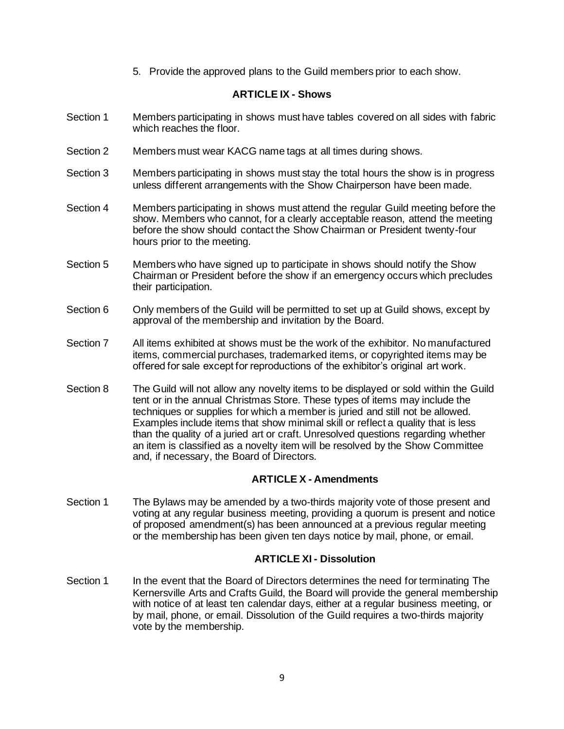5. Provide the approved plans to the Guild members prior to each show.

#### **ARTICLE IX - Shows**

- Section 1 Members participating in shows must have tables covered on all sides with fabric which reaches the floor.
- Section 2 Members must wear KACG name tags at all times during shows.
- Section 3 Members participating in shows must stay the total hours the show is in progress unless different arrangements with the Show Chairperson have been made.
- Section 4 Members participating in shows must attend the regular Guild meeting before the show. Members who cannot, for a clearly acceptable reason, attend the meeting before the show should contact the Show Chairman or President twenty-four hours prior to the meeting.
- Section 5 Members who have signed up to participate in shows should notify the Show Chairman or President before the show if an emergency occurs which precludes their participation.
- Section 6 Only members of the Guild will be permitted to set up at Guild shows, except by approval of the membership and invitation by the Board.
- Section 7 All items exhibited at shows must be the work of the exhibitor. No manufactured items, commercial purchases, trademarked items, or copyrighted items may be offered for sale except for reproductions of the exhibitor's original art work.
- Section 8 The Guild will not allow any novelty items to be displayed or sold within the Guild tent or in the annual Christmas Store. These types of items may include the techniques or supplies for which a member is juried and still not be allowed. Examples include items that show minimal skill or reflect a quality that is less than the quality of a juried art or craft. Unresolved questions regarding whether an item is classified as a novelty item will be resolved by the Show Committee and, if necessary, the Board of Directors.

## **ARTICLE X - Amendments**

Section 1 The Bylaws may be amended by a two-thirds majority vote of those present and voting at any regular business meeting, providing a quorum is present and notice of proposed amendment(s) has been announced at a previous regular meeting or the membership has been given ten days notice by mail, phone, or email.

## **ARTICLE XI - Dissolution**

Section 1 In the event that the Board of Directors determines the need for terminating The Kernersville Arts and Crafts Guild, the Board will provide the general membership with notice of at least ten calendar days, either at a regular business meeting, or by mail, phone, or email. Dissolution of the Guild requires a two-thirds majority vote by the membership.